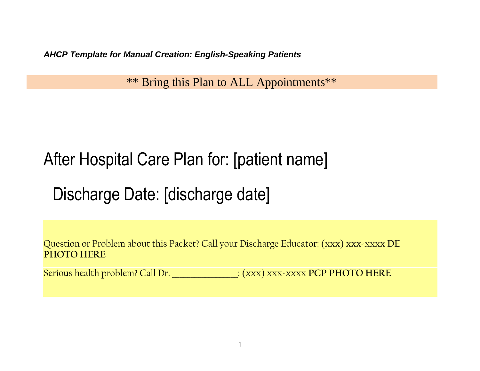*AHCP Template for Manual Creation: English-Speaking Patients* 

\*\* Bring this Plan to ALL Appointments\*\*

# After Hospital Care Plan for: [patient name]

Discharge Date: [discharge date]

Question or Problem about this Packet? Call your Discharge Educator: (xxx) xxx-xxxx **DE PHOTO HERE**

Serious health problem? Call Dr. \_\_\_\_\_\_\_\_\_\_\_\_\_\_\_\_\_\_: (xxx) xxx-xxxx **PCP PHOTO HERE**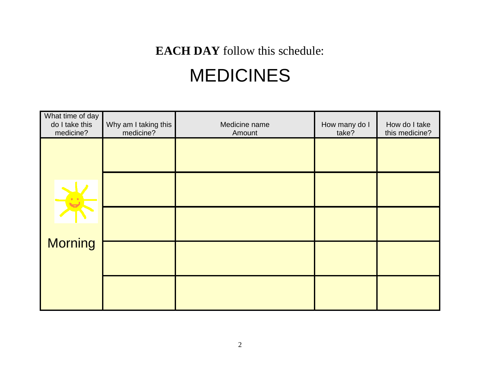### **EACH DAY** follow this schedule:

## MEDICINES

| What time of day<br>do I take this<br>medicine? | Why am I taking this<br>medicine? | Medicine name<br>Amount | How many do I<br>take? | How do I take<br>this medicine? |
|-------------------------------------------------|-----------------------------------|-------------------------|------------------------|---------------------------------|
|                                                 |                                   |                         |                        |                                 |
|                                                 |                                   |                         |                        |                                 |
|                                                 |                                   |                         |                        |                                 |
| <b>Morning</b>                                  |                                   |                         |                        |                                 |
|                                                 |                                   |                         |                        |                                 |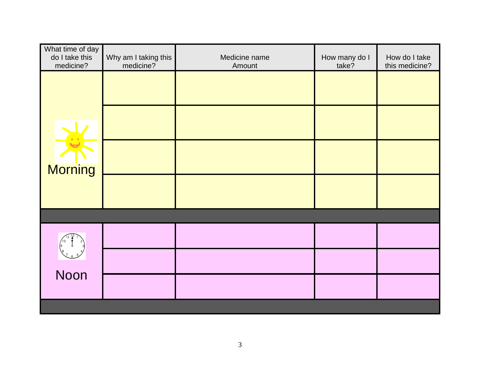| What time of day<br>do I take this<br>medicine? | Why am I taking this<br>medicine? | Medicine name<br>Amount | How many do I<br>take? | How do I take<br>this medicine? |
|-------------------------------------------------|-----------------------------------|-------------------------|------------------------|---------------------------------|
|                                                 |                                   |                         |                        |                                 |
|                                                 |                                   |                         |                        |                                 |
| Morning                                         |                                   |                         |                        |                                 |
|                                                 |                                   |                         |                        |                                 |
|                                                 |                                   |                         |                        |                                 |
|                                                 |                                   |                         |                        |                                 |
| Noon                                            |                                   |                         |                        |                                 |
|                                                 |                                   |                         |                        |                                 |
|                                                 |                                   |                         |                        |                                 |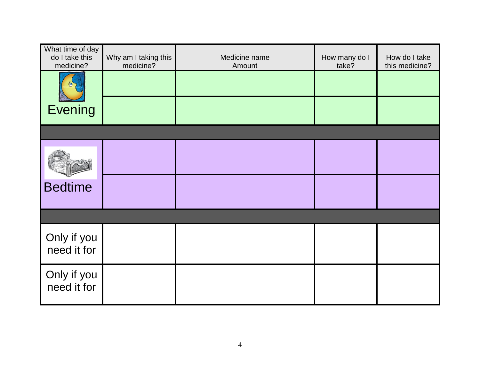| What time of day<br>do I take this<br>medicine? | Why am I taking this<br>medicine? | Medicine name<br>Amount | How many do I<br>take? | How do I take<br>this medicine? |
|-------------------------------------------------|-----------------------------------|-------------------------|------------------------|---------------------------------|
|                                                 |                                   |                         |                        |                                 |
| <b>Evening</b>                                  |                                   |                         |                        |                                 |
|                                                 |                                   |                         |                        |                                 |
|                                                 |                                   |                         |                        |                                 |
| <b>Bedtime</b>                                  |                                   |                         |                        |                                 |
|                                                 |                                   |                         |                        |                                 |
| Only if you<br>need it for                      |                                   |                         |                        |                                 |
| Only if you<br>need it for                      |                                   |                         |                        |                                 |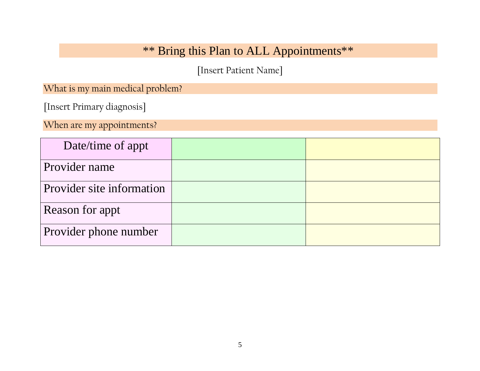### \*\* Bring this Plan to ALL Appointments\*\*

[Insert Patient Name]

What is my main medical problem?

[Insert Primary diagnosis]

When are my appointments?

| Date/time of appt         |  |
|---------------------------|--|
| Provider name             |  |
| Provider site information |  |
| Reason for appt           |  |
| Provider phone number     |  |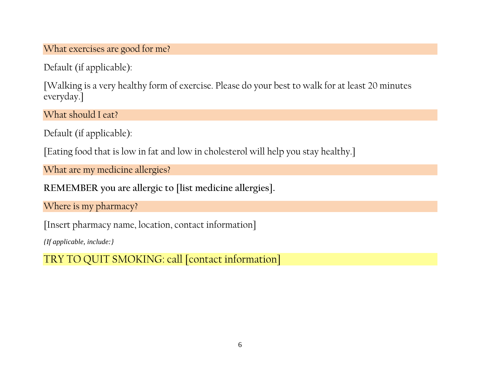What exercises are good for me?

Default (if applicable):

[Walking is a very healthy form of exercise. Please do your best to walk for at least 20 minutes everyday.]

What should I eat?

Default (if applicable):

[Eating food that is low in fat and low in cholesterol will help you stay healthy.]

What are my medicine allergies?

**REMEMBER you are allergic to [list medicine allergies].** 

Where is my pharmacy?

[Insert pharmacy name, location, contact information]

*{If applicable, include:}* 

TRY TO QUIT SMOKING: call [contact information]